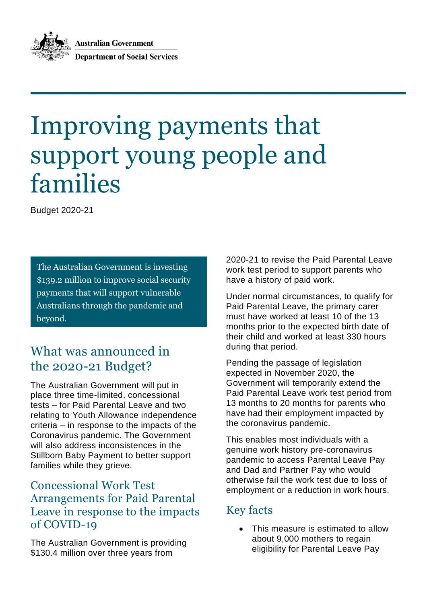**Australian Government Department of Social Services** 

# Improving payments that support young people and families

Budget 2020-21

The Australian Government is investing \$139.2 million to improve social security payments that will support vulnerable Australians through the pandemic and beyond.

# What was announced in the 2020-21 Budget?

The Australian Government will put in place three time-limited, concessional tests – for Paid Parental Leave and two relating to Youth Allowance independence criteria – in response to the impacts of the Coronavirus pandemic. The Government will also address inconsistences in the Stillborn Baby Payment to better support families while they grieve.

## Concessional Work Test Arrangements for Paid Parental Leave in response to the impacts of COVID-19

The Australian Government is providing \$130.4 million over three years from

2020-21 to revise the Paid Parental Leave work test period to support parents who have a history of paid work.

Under normal circumstances, to qualify for Paid Parental Leave, the primary carer must have worked at least 10 of the 13 months prior to the expected birth date of their child and worked at least 330 hours during that period.

Pending the passage of legislation expected in November 2020, the Government will temporarily extend the Paid Parental Leave work test period from 13 months to 20 months for parents who have had their employment impacted by the coronavirus pandemic.

This enables most individuals with a genuine work history pre-coronavirus pandemic to access Parental Leave Pay and Dad and Partner Pay who would otherwise fail the work test due to loss of employment or a reduction in work hours.

# Key facts

 This measure is estimated to allow about 9,000 mothers to regain eligibility for Parental Leave Pay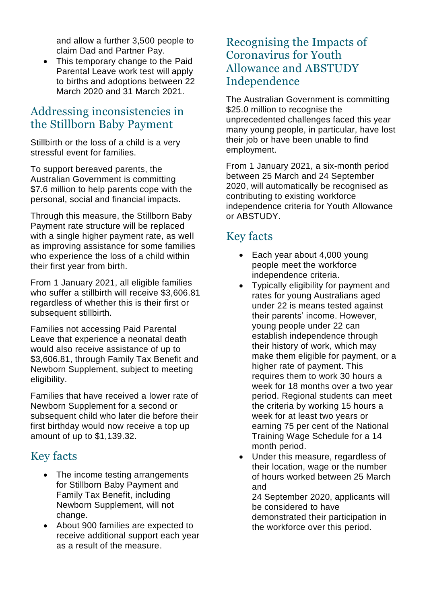and allow a further 3,500 people to claim Dad and Partner Pay.

• This temporary change to the Paid Parental Leave work test will apply to births and adoptions between 22 March 2020 and 31 March 2021.

### Addressing inconsistencies in the Stillborn Baby Payment

Stillbirth or the loss of a child is a very stressful event for families.

To support bereaved parents, the Australian Government is committing \$7.6 million to help parents cope with the personal, social and financial impacts.

Through this measure, the Stillborn Baby Payment rate structure will be replaced with a single higher payment rate, as well as improving assistance for some families who experience the loss of a child within their first year from birth.

From 1 January 2021, all eligible families who suffer a stillbirth will receive \$3,606.81 regardless of whether this is their first or subsequent stillbirth.

Families not accessing Paid Parental Leave that experience a neonatal death would also receive assistance of up to \$3,606.81, through Family Tax Benefit and Newborn Supplement, subject to meeting eligibility.

Families that have received a lower rate of Newborn Supplement for a second or subsequent child who later die before their first birthday would now receive a top up amount of up to \$1,139.32.

## Key facts

- The income testing arrangements for Stillborn Baby Payment and Family Tax Benefit, including Newborn Supplement, will not change.
- About 900 families are expected to receive additional support each year as a result of the measure.

#### Recognising the Impacts of Coronavirus for Youth Allowance and ABSTUDY Independence

The Australian Government is committing \$25.0 million to recognise the unprecedented challenges faced this year many young people, in particular, have lost their job or have been unable to find employment.

From 1 January 2021, a six-month period between 25 March and 24 September 2020, will automatically be recognised as contributing to existing workforce independence criteria for Youth Allowance or ABSTUDY.

# Key facts

- Each year about 4,000 young people meet the workforce independence criteria.
- Typically eligibility for payment and rates for young Australians aged under 22 is means tested against their parents' income. However, young people under 22 can establish independence through their history of work, which may make them eligible for payment, or a higher rate of payment. This requires them to work 30 hours a week for 18 months over a two year period. Regional students can meet the criteria by working 15 hours a week for at least two years or earning 75 per cent of the National Training Wage Schedule for a 14 month period.
- Under this measure, regardless of their location, wage or the number of hours worked between 25 March and

24 September 2020, applicants will be considered to have demonstrated their participation in the workforce over this period.